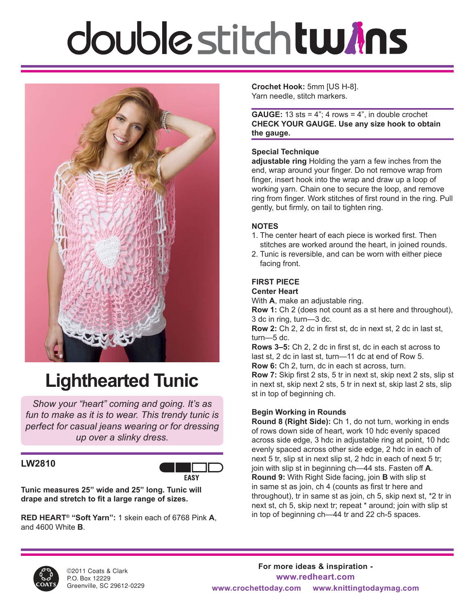# double stitch tw*i*ns



### **Lighthearted Tunic**

*Show your "heart" coming and going. It's as fun to make as it is to wear. This trendy tunic is perfect for casual jeans wearing or for dressing up over a slinky dress.* 

### **LW2810**



**Tunic measures 25" wide and 25" long. Tunic will drape and stretch to fit a large range of sizes.**

**RED HEART® "Soft Yarn":** 1 skein each of 6768 Pink **A**, and 4600 White **B**.

**Crochet Hook:** 5mm [US H-8]. Yarn needle, stitch markers.

**GAUGE:** 13 sts =  $4$ "; 4 rows =  $4$ ", in double crochet **CHECK YOUR GAUGE. Use any size hook to obtain the gauge.** 

#### **Special Technique**

**adjustable ring** Holding the yarn a few inches from the end, wrap around your finger. Do not remove wrap from finger, insert hook into the wrap and draw up a loop of working yarn. Chain one to secure the loop, and remove ring from finger. Work stitches of first round in the ring. Pull gently, but firmly, on tail to tighten ring.

#### **NOTES**

- 1. The center heart of each piece is worked first. Then stitches are worked around the heart, in joined rounds.
- 2. Tunic is reversible, and can be worn with either piece facing front.

### **FIRST PIECE**

#### **Center Heart**

With **A**, make an adjustable ring.

**Row 1:** Ch 2 (does not count as a st here and throughout), 3 dc in ring, turn—3 dc.

**Row 2:** Ch 2, 2 dc in first st, dc in next st, 2 dc in last st, turn—5 dc.

**Rows 3–5:** Ch 2, 2 dc in first st, dc in each st across to last st, 2 dc in last st, turn—11 dc at end of Row 5. **Row 6:** Ch 2, turn, dc in each st across, turn.

**Row 7:** Skip first 2 sts, 5 tr in next st, skip next 2 sts, slip st in next st, skip next 2 sts, 5 tr in next st, skip last 2 sts, slip st in top of beginning ch.

#### **Begin Working in Rounds**

**Round 8 (Right Side):** Ch 1, do not turn, working in ends of rows down side of heart, work 10 hdc evenly spaced across side edge, 3 hdc in adjustable ring at point, 10 hdc evenly spaced across other side edge, 2 hdc in each of next 5 tr, slip st in next slip st, 2 hdc in each of next 5 tr; join with slip st in beginning ch—44 sts. Fasten off **A**. **Round 9:** With Right Side facing, join **B** with slip st in same st as join, ch 4 (counts as first tr here and throughout), tr in same st as join, ch 5, skip next st, \*2 tr in next st, ch 5, skip next tr; repeat \* around; join with slip st in top of beginning ch—44 tr and 22 ch-5 spaces.

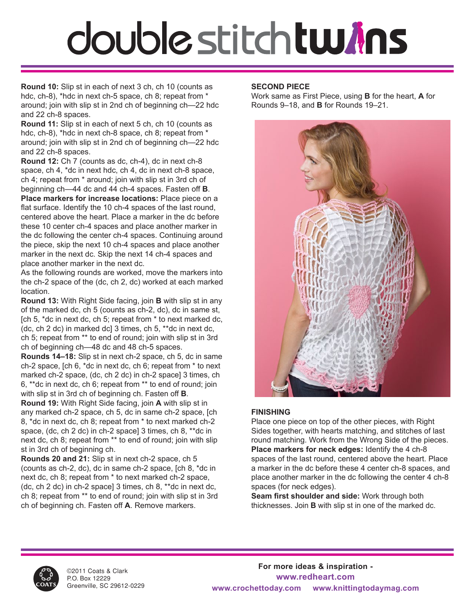# double stitch tw*i*ns

**Round 10:** Slip st in each of next 3 ch, ch 10 (counts as hdc, ch-8), \*hdc in next ch-5 space, ch 8; repeat from \* around; join with slip st in 2nd ch of beginning ch—22 hdc and 22 ch-8 spaces.

**Round 11:** Slip st in each of next 5 ch, ch 10 (counts as hdc, ch-8), \*hdc in next ch-8 space, ch 8; repeat from \* around; join with slip st in 2nd ch of beginning ch—22 hdc and 22 ch-8 spaces.

**Round 12:** Ch 7 (counts as dc, ch-4), dc in next ch-8 space, ch 4, \*dc in next hdc, ch 4, dc in next ch-8 space, ch 4; repeat from \* around; join with slip st in 3rd ch of beginning ch—44 dc and 44 ch-4 spaces. Fasten off **B**. **Place markers for increase locations:** Place piece on a flat surface. Identify the 10 ch-4 spaces of the last round, centered above the heart. Place a marker in the dc before these 10 center ch-4 spaces and place another marker in the dc following the center ch-4 spaces. Continuing around the piece, skip the next 10 ch-4 spaces and place another marker in the next dc. Skip the next 14 ch-4 spaces and place another marker in the next dc.

As the following rounds are worked, move the markers into the ch-2 space of the (dc, ch 2, dc) worked at each marked location.

**Round 13:** With Right Side facing, join **B** with slip st in any of the marked dc, ch 5 (counts as ch-2, dc), dc in same st, [ch 5, \*dc in next dc, ch 5; repeat from \* to next marked dc, (dc, ch 2 dc) in marked dc] 3 times, ch 5, \*\*dc in next dc, ch 5; repeat from \*\* to end of round; join with slip st in 3rd ch of beginning ch—48 dc and 48 ch-5 spaces.

**Rounds 14–18:** Slip st in next ch-2 space, ch 5, dc in same ch-2 space, [ch 6, \*dc in next dc, ch 6; repeat from \* to next marked ch-2 space, (dc, ch 2 dc) in ch-2 space] 3 times, ch 6, \*\*dc in next dc, ch 6; repeat from \*\* to end of round; join with slip st in 3rd ch of beginning ch. Fasten off **B**.

**Round 19:** With Right Side facing, join **A** with slip st in any marked ch-2 space, ch 5, dc in same ch-2 space, [ch 8, \*dc in next dc, ch 8; repeat from \* to next marked ch-2 space, (dc, ch 2 dc) in ch-2 space] 3 times, ch 8, \*\*dc in next dc, ch 8; repeat from \*\* to end of round; join with slip st in 3rd ch of beginning ch.

**Rounds 20 and 21:** Slip st in next ch-2 space, ch 5 (counts as ch-2, dc), dc in same ch-2 space, [ch 8, \*dc in next dc, ch 8; repeat from \* to next marked ch-2 space, (dc, ch 2 dc) in ch-2 space] 3 times, ch 8, \*\*dc in next dc, ch 8; repeat from \*\* to end of round; join with slip st in 3rd ch of beginning ch. Fasten off **A**. Remove markers.

#### **SECOND PIECE**

Work same as First Piece, using **B** for the heart, **A** for Rounds 9–18, and **B** for Rounds 19–21.



#### **FINISHING**

Place one piece on top of the other pieces, with Right Sides together, with hearts matching, and stitches of last round matching. Work from the Wrong Side of the pieces. **Place markers for neck edges:** Identify the 4 ch-8 spaces of the last round, centered above the heart. Place a marker in the dc before these 4 center ch-8 spaces, and place another marker in the dc following the center 4 ch-8 spaces (for neck edges).

**Seam first shoulder and side:** Work through both thicknesses. Join **B** with slip st in one of the marked dc.



©2011 Coats & Clark P.O. Box 12229 Greenville, SC 29612-0229